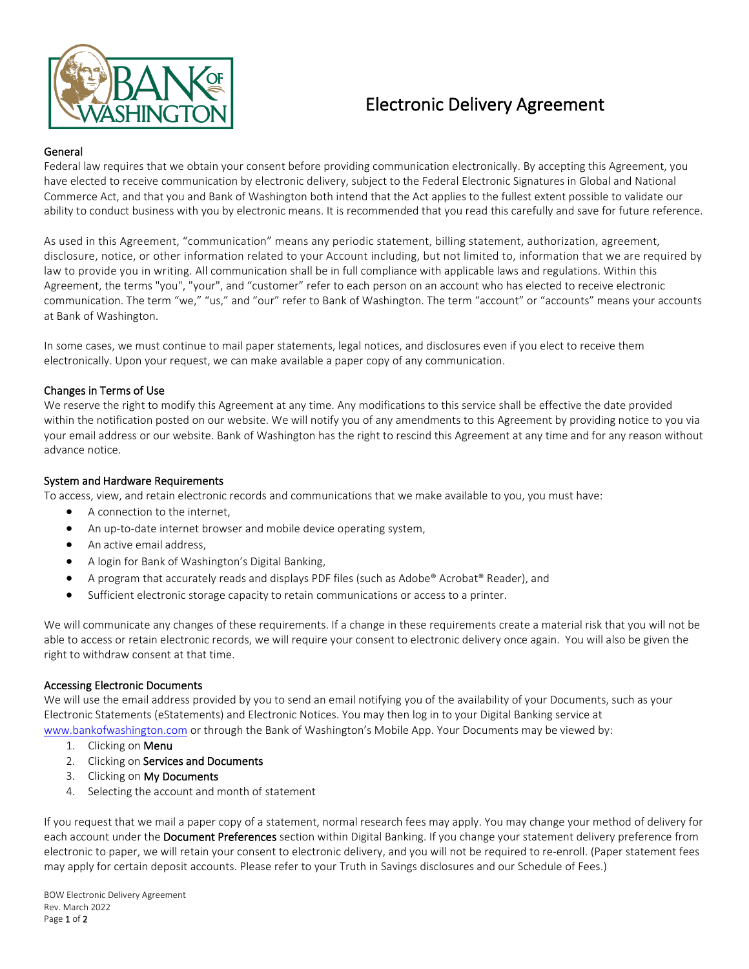

# Electronic Delivery Agreement

# General

Federal law requires that we obtain your consent before providing communication electronically. By accepting this Agreement, you have elected to receive communication by electronic delivery, subject to the Federal Electronic Signatures in Global and National Commerce Act, and that you and Bank of Washington both intend that the Act applies to the fullest extent possible to validate our ability to conduct business with you by electronic means. It is recommended that you read this carefully and save for future reference.

As used in this Agreement, "communication" means any periodic statement, billing statement, authorization, agreement, disclosure, notice, or other information related to your Account including, but not limited to, information that we are required by law to provide you in writing. All communication shall be in full compliance with applicable laws and regulations. Within this Agreement, the terms "you", "your", and "customer" refer to each person on an account who has elected to receive electronic communication. The term "we," "us," and "our" refer to Bank of Washington. The term "account" or "accounts" means your accounts at Bank of Washington.

In some cases, we must continue to mail paper statements, legal notices, and disclosures even if you elect to receive them electronically. Upon your request, we can make available a paper copy of any communication.

# Changes in Terms of Use

We reserve the right to modify this Agreement at any time. Any modifications to this service shall be effective the date provided within the notification posted on our website. We will notify you of any amendments to this Agreement by providing notice to you via your email address or our website. Bank of Washington has the right to rescind this Agreement at any time and for any reason without advance notice.

## System and Hardware Requirements

To access, view, and retain electronic records and communications that we make available to you, you must have:

- A connection to the internet,
- An up-to-date internet browser and mobile device operating system,
- An active email address,
- A login for Bank of Washington's Digital Banking,
- A program that accurately reads and displays PDF files (such as Adobe® Acrobat® Reader), and
- Sufficient electronic storage capacity to retain communications or access to a printer.

We will communicate any changes of these requirements. If a change in these requirements create a material risk that you will not be able to access or retain electronic records, we will require your consent to electronic delivery once again. You will also be given the right to withdraw consent at that time.

## Accessing Electronic Documents

We will use the email address provided by you to send an email notifying you of the availability of your Documents, such as your Electronic Statements (eStatements) and Electronic Notices. You may then log in to your Digital Banking service at www.bankofwashington.com or through the Bank of Washington's Mobile App. Your Documents may be viewed by:

- 1. Clicking on Menu
- 2. Clicking on Services and Documents
- 3. Clicking on My Documents
- 4. Selecting the account and month of statement

If you request that we mail a paper copy of a statement, normal research fees may apply. You may change your method of delivery for each account under the Document Preferences section within Digital Banking. If you change your statement delivery preference from electronic to paper, we will retain your consent to electronic delivery, and you will not be required to re-enroll. (Paper statement fees may apply for certain deposit accounts. Please refer to your Truth in Savings disclosures and our Schedule of Fees.)